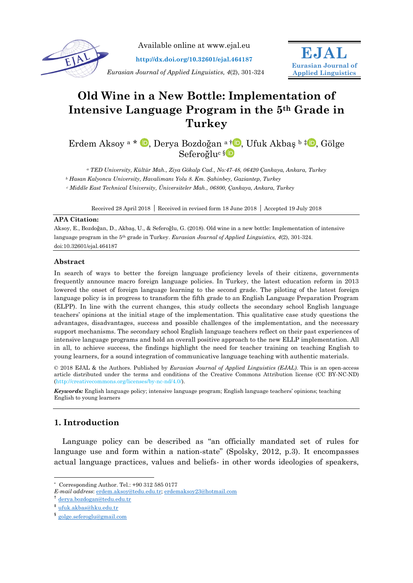

Available online at www.ejal.eu

**http://dx.doi.org/10.32601/ejal.464187**

*Eurasian Journal of Applied Linguistics, 4*(2), 301-324



# **Old Wine in a New Bottle: Implementation of Intensive Language Program in the 5th Grade in Turkey**

Erdem Aksoy<sup>a</sup> \* D[,](https://orcid.org/0000-0002-6122-154X) Derya Bozdoğan <sup>a †</sup> D, Ufuk Akbaş <sup>b‡</sup> D, Gölge Seferoğlu<sup>c [§](https://orcid.org/0000-0001-7587-6822)</sup>

*<sup>a</sup> TED University, Kültür Mah., Ziya Gökalp Cad., No:47-48, 06420 Çankaya, Ankara, Turkey <sup>b</sup> Hasan Kalyoncu University, Havalimanı Yolu 8. Km. Şahinbey, Gaziantep, Turkey <sup>c</sup> Middle East Technical University, Üniversiteler Mah., 06800, Çankaya, Ankara, Turkey*

Received 28 April 2018 | Received in revised form 18 June 2018 | Accepted 19 July 2018

#### **APA Citation:**

Aksoy, E., Bozdoğan, D., Akbaş, U., & Seferoğlu, G. (2018). Old wine in a new bottle: Implementation of intensive language program in the 5th grade in Turkey. *Eurasian Journal of Applied Linguistics, 4*(2), 301-324. doi:10.32601/ejal.464187

## **Abstract**

In search of ways to better the foreign language proficiency levels of their citizens, governments frequently announce macro foreign language policies. In Turkey, the latest education reform in 2013 lowered the onset of foreign language learning to the second grade. The piloting of the latest foreign language policy is in progress to transform the fifth grade to an English Language Preparation Program (ELPP). In line with the current changes, this study collects the secondary school English language teachers' opinions at the initial stage of the implementation. This qualitative case study questions the advantages, disadvantages, success and possible challenges of the implementation, and the necessary support mechanisms. The secondary school English language teachers reflect on their past experiences of intensive language programs and hold an overall positive approach to the new ELLP implementation. All in all, to achieve success, the findings highlight the need for teacher training on teaching English to young learners, for a sound integration of communicative language teaching with authentic materials.

© 2018 EJAL & the Authors. Published by *Eurasian Journal of Applied Linguistics (EJAL)*. This is an open-access article distributed under the terms and conditions of the Creative Commons Attribution license (CC BY-NC-ND) (http://creativecommons.org/licenses/by-nc-nd/4.0/).

*Keywords:* English language policy; intensive language program; English language teachers' opinions; teaching English to young learners

# **1. Introduction**

Language policy can be described as "an officially mandated set of rules for language use and form within a nation-state" (Spolsky, 2012, p.3). It encompasses actual language practices, values and beliefs- in other words ideologies of speakers,

-

<sup>\*</sup> Corresponding Author. Tel.: +90 312 585 0177

*E-mail address*[: erdem.aksoy@tedu.edu.tr;](mailto:erdem.aksoy@tedu.edu.tr) [erdemaksoy23@hotmail.com](mailto:erdemaksoy23@hotmail.com)

<sup>†</sup> [derya.bozdogan@tedu.edu.tr](mailto:derya.bozdogan@tedu.edu.tr)

<sup>‡</sup> [ufuk.akbas@hku.edu.tr](mailto:ufuk.akbas@hku.edu.tr)

<sup>§</sup> [golge.seferoglu@gmail.com](mailto:golge.seferoglu@gmail.com)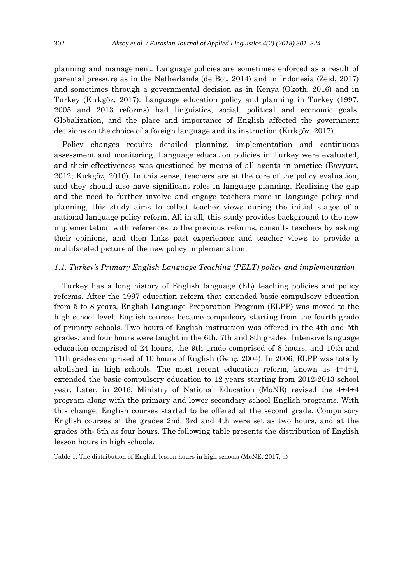planning and management. Language policies are sometimes enforced as a result of parental pressure as in the Netherlands (de Bot, 2014) and in Indonesia (Zeid, 2017) and sometimes through a governmental decision as in Kenya (Okoth, 2016) and in Turkey (Kırkgöz, 2017). Language education policy and planning in Turkey (1997, 2005 and 2013 reforms) had linguistics, social, political and economic goals. Globalization, and the place and importance of English affected the government decisions on the choice of a foreign language and its instruction (Kırkgöz, 2017).

Policy changes require detailed planning, implementation and continuous assessment and monitoring. Language education policies in Turkey were evaluated, and their effectiveness was questioned by means of all agents in practice (Bayyurt, 2012; Kırkgöz, 2010). In this sense, teachers are at the core of the policy evaluation, and they should also have significant roles in language planning. Realizing the gap and the need to further involve and engage teachers more in language policy and planning, this study aims to collect teacher views during the initial stages of a national language policy reform. All in all, this study provides background to the new implementation with references to the previous reforms, consults teachers by asking their opinions, and then links past experiences and teacher views to provide a multifaceted picture of the new policy implementation.

#### *1.1. Turkey's Primary English Language Teaching (PELT) policy and implementation*

Turkey has a long history of English language (EL) teaching policies and policy reforms. After the 1997 education reform that extended basic compulsory education from 5 to 8 years, English Language Preparation Program (ELPP) was moved to the high school level. English courses became compulsory starting from the fourth grade of primary schools. Two hours of English instruction was offered in the 4th and 5th grades, and four hours were taught in the 6th, 7th and 8th grades. Intensive language education comprised of 24 hours, the 9th grade comprised of 8 hours, and 10th and 11th grades comprised of 10 hours of English (Genç, 2004). In 2006, ELPP was totally abolished in high schools. The most recent education reform, known as 4+4+4, extended the basic compulsory education to 12 years starting from 2012-2013 school year. Later, in 2016, Ministry of National Education (MoNE) revised the 4+4+4 program along with the primary and lower secondary school English programs. With this change, English courses started to be offered at the second grade. Compulsory English courses at the grades 2nd, 3rd and 4th were set as two hours, and at the grades 5th- 8th as four hours. The following table presents the distribution of English lesson hours in high schools.

Table 1. The distribution of English lesson hours in high schools (MoNE, 2017, a)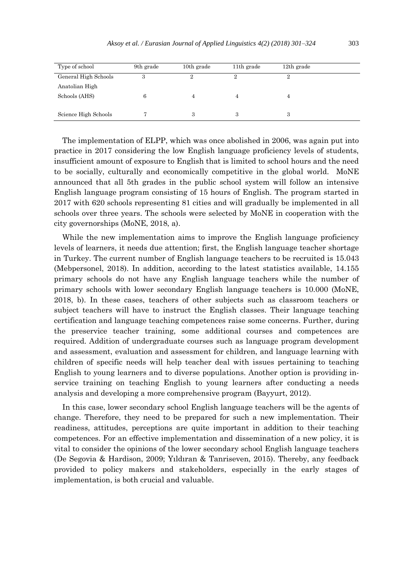| Type of school       | 9th grade | 10th grade | 11 <sup>th</sup> grade | $12th$ grade |  |
|----------------------|-----------|------------|------------------------|--------------|--|
| General High Schools | 3         | ച          |                        |              |  |
| Anatolian High       |           |            |                        |              |  |
| Schools (AHS)        | 6         |            | 4                      |              |  |
|                      |           |            |                        |              |  |
| Science High Schools |           | 3          |                        |              |  |

The implementation of ELPP, which was once abolished in 2006, was again put into practice in 2017 considering the low English language proficiency levels of students, insufficient amount of exposure to English that is limited to school hours and the need to be socially, culturally and economically competitive in the global world. MoNE announced that all 5th grades in the public school system will follow an intensive English language program consisting of 15 hours of English. The program started in 2017 with 620 schools representing 81 cities and will gradually be implemented in all schools over three years. The schools were selected by MoNE in cooperation with the city governorships (MoNE, 2018, a).

While the new implementation aims to improve the English language proficiency levels of learners, it needs due attention; first, the English language teacher shortage in Turkey. The current number of English language teachers to be recruited is 15.043 (Mebpersonel, 2018). In addition, according to the latest statistics available, 14.155 primary schools do not have any English language teachers while the number of primary schools with lower secondary English language teachers is 10.000 (MoNE, 2018, b). In these cases, teachers of other subjects such as classroom teachers or subject teachers will have to instruct the English classes. Their language teaching certification and language teaching competences raise some concerns. Further, during the preservice teacher training, some additional courses and competences are required. Addition of undergraduate courses such as language program development and assessment, evaluation and assessment for children, and language learning with children of specific needs will help teacher deal with issues pertaining to teaching English to young learners and to diverse populations. Another option is providing inservice training on teaching English to young learners after conducting a needs analysis and developing a more comprehensive program (Bayyurt, 2012).

In this case, lower secondary school English language teachers will be the agents of change. Therefore, they need to be prepared for such a new implementation. Their readiness, attitudes, perceptions are quite important in addition to their teaching competences. For an effective implementation and dissemination of a new policy, it is vital to consider the opinions of the lower secondary school English language teachers (De Segovia & Hardison, 2009; Yıldıran & Tanriseven, 2015). Thereby, any feedback provided to policy makers and stakeholders, especially in the early stages of implementation, is both crucial and valuable.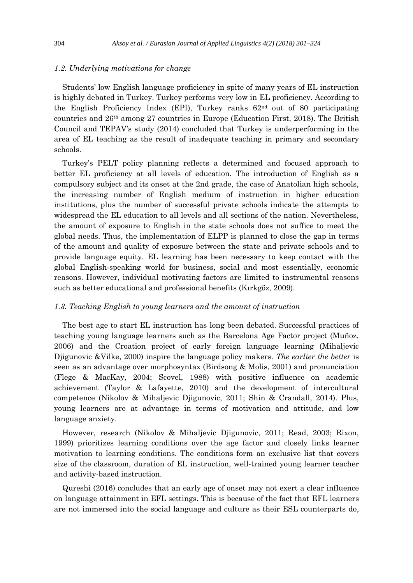## *1.2. Underlying motivations for change*

Students' low English language proficiency in spite of many years of EL instruction is highly debated in Turkey. Turkey performs very low in EL proficiency. According to the English Proficiency Index (EPI), Turkey ranks  $62<sup>nd</sup>$  out of 80 participating countries and  $26<sup>th</sup>$  among 27 countries in Europe (Education First, 2018). The British Council and TEPAV's study (2014) concluded that Turkey is underperforming in the area of EL teaching as the result of inadequate teaching in primary and secondary schools.

Turkey's PELT policy planning reflects a determined and focused approach to better EL proficiency at all levels of education. The introduction of English as a compulsory subject and its onset at the 2nd grade, the case of Anatolian high schools, the increasing number of English medium of instruction in higher education institutions, plus the number of successful private schools indicate the attempts to widespread the EL education to all levels and all sections of the nation. Nevertheless, the amount of exposure to English in the state schools does not suffice to meet the global needs. Thus, the implementation of ELPP is planned to close the gap in terms of the amount and quality of exposure between the state and private schools and to provide language equity. EL learning has been necessary to keep contact with the global English-speaking world for business, social and most essentially, economic reasons. However, individual motivating factors are limited to instrumental reasons such as better educational and professional benefits (Kırkgöz, 2009).

#### *1.3. Teaching English to young learners and the amount of instruction*

The best age to start EL instruction has long been debated. Successful practices of teaching young language learners such as the Barcelona Age Factor project (Muñoz, 2006) and the Croation project of early foreign language learning (Mihaljevic Djigunovic &Vilke, 2000) inspire the language policy makers. *The earlier the better* is seen as an advantage over morphosyntax (Birdsong & Molis, 2001) and pronunciation (Flege & MacKay, 2004; Scovel, 1988) with positive influence on academic achievement (Taylor & Lafayette, 2010) and the development of intercultural competence (Nikolov & Mihaljevic Djigunovic, 2011; Shin & Crandall, 2014). Plus, young learners are at advantage in terms of motivation and attitude, and low language anxiety.

However, research (Nikolov & Mihaljevic Djigunovic, 2011; Read, 2003; Rixon, 1999) prioritizes learning conditions over the age factor and closely links learner motivation to learning conditions. The conditions form an exclusive list that covers size of the classroom, duration of EL instruction, well-trained young learner teacher and activity-based instruction.

Qureshi (2016) concludes that an early age of onset may not exert a clear influence on language attainment in EFL settings. This is because of the fact that EFL learners are not immersed into the social language and culture as their ESL counterparts do,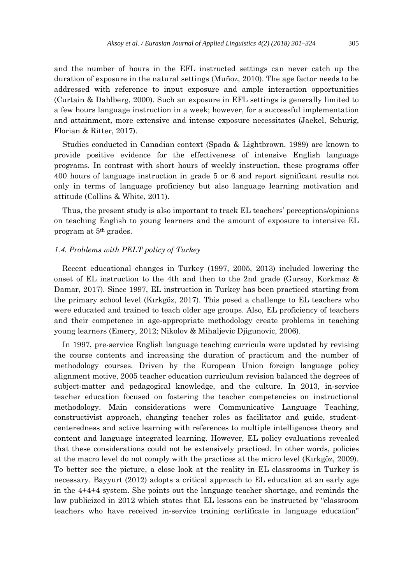and the number of hours in the EFL instructed settings can never catch up the duration of exposure in the natural settings (Muñoz, 2010). The age factor needs to be addressed with reference to input exposure and ample interaction opportunities (Curtain & Dahlberg, 2000). Such an exposure in EFL settings is generally limited to a few hours language instruction in a week; however, for a successful implementation and attainment, more extensive and intense exposure necessitates (Jaekel, Schurig, Florian & Ritter, 2017).

Studies conducted in Canadian context (Spada & Lightbrown, 1989) are known to provide positive evidence for the effectiveness of intensive English language programs. In contrast with short hours of weekly instruction, these programs offer 400 hours of language instruction in grade 5 or 6 and report significant results not only in terms of language proficiency but also language learning motivation and attitude (Collins & White, 2011).

Thus, the present study is also important to track EL teachers' perceptions/opinions on teaching English to young learners and the amount of exposure to intensive EL program at 5th grades.

## *1.4. Problems with PELT policy of Turkey*

Recent educational changes in Turkey (1997, 2005, 2013) included lowering the onset of EL instruction to the 4th and then to the 2nd grade (Gursoy, Korkmaz & Damar, 2017). Since 1997, EL instruction in Turkey has been practiced starting from the primary school level (Kırkgöz, 2017). This posed a challenge to EL teachers who were educated and trained to teach older age groups. Also, EL proficiency of teachers and their competence in age-appropriate methodology create problems in teaching young learners (Emery, 2012; Nikolov & Mihaljevic Djigunovic, 2006).

In 1997, pre-service English language teaching curricula were updated by revising the course contents and increasing the duration of practicum and the number of methodology courses. Driven by the European Union foreign language policy alignment motive, 2005 teacher education curriculum revision balanced the degrees of subject-matter and pedagogical knowledge, and the culture. In 2013, in-service teacher education focused on fostering the teacher competencies on instructional methodology. Main considerations were Communicative Language Teaching, constructivist approach, changing teacher roles as facilitator and guide, studentcenteredness and active learning with references to multiple intelligences theory and content and language integrated learning. However, EL policy evaluations revealed that these considerations could not be extensively practiced. In other words, policies at the macro level do not comply with the practices at the micro level (Kırkgöz, 2009). To better see the picture, a close look at the reality in EL classrooms in Turkey is necessary. Bayyurt (2012) adopts a critical approach to EL education at an early age in the 4+4+4 system. She points out the language teacher shortage, and reminds the law publicized in 2012 which states that EL lessons can be instructed by "classroom teachers who have received in-service training certificate in language education"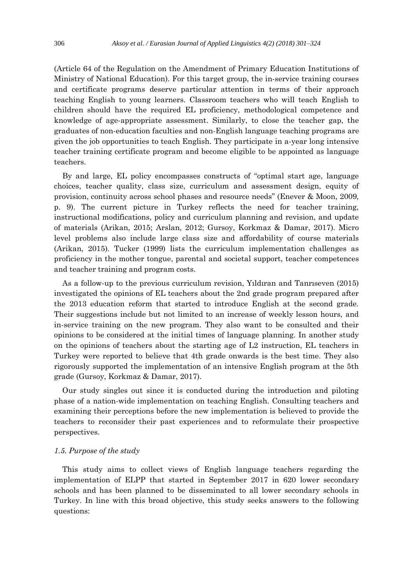(Article 64 of the Regulation on the Amendment of Primary Education Institutions of Ministry of National Education). For this target group, the in-service training courses and certificate programs deserve particular attention in terms of their approach teaching English to young learners. Classroom teachers who will teach English to children should have the required EL proficiency, methodological competence and knowledge of age-appropriate assessment. Similarly, to close the teacher gap, the graduates of non-education faculties and non-English language teaching programs are given the job opportunities to teach English. They participate in a-year long intensive teacher training certificate program and become eligible to be appointed as language teachers.

By and large, EL policy encompasses constructs of "optimal start age, language choices, teacher quality, class size, curriculum and assessment design, equity of provision, continuity across school phases and resource needs" (Enever & Moon, 2009, p. 9). The current picture in Turkey reflects the need for teacher training, instructional modifications, policy and curriculum planning and revision, and update of materials (Arikan, 2015; Arslan, 2012; Gursoy, Korkmaz & Damar, 2017). Micro level problems also include large class size and affordability of course materials (Arikan, 2015). Tucker (1999) lists the curriculum implementation challenges as proficiency in the mother tongue, parental and societal support, teacher competences and teacher training and program costs.

As a follow-up to the previous curriculum revision, Yıldıran and Tanrıseven (2015) investigated the opinions of EL teachers about the 2nd grade program prepared after the 2013 education reform that started to introduce English at the second grade. Their suggestions include but not limited to an increase of weekly lesson hours, and in-service training on the new program. They also want to be consulted and their opinions to be considered at the initial times of language planning. In another study on the opinions of teachers about the starting age of L2 instruction, EL teachers in Turkey were reported to believe that 4th grade onwards is the best time. They also rigorously supported the implementation of an intensive English program at the 5th grade (Gursoy, Korkmaz & Damar, 2017).

Our study singles out since it is conducted during the introduction and piloting phase of a nation-wide implementation on teaching English. Consulting teachers and examining their perceptions before the new implementation is believed to provide the teachers to reconsider their past experiences and to reformulate their prospective perspectives.

## *1.5. Purpose of the study*

This study aims to collect views of English language teachers regarding the implementation of ELPP that started in September 2017 in 620 lower secondary schools and has been planned to be disseminated to all lower secondary schools in Turkey. In line with this broad objective, this study seeks answers to the following questions: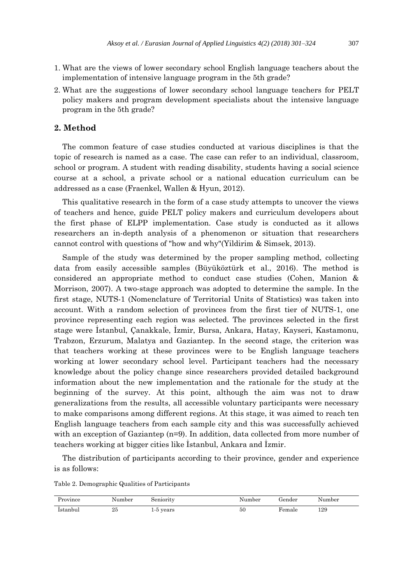- 1. What are the views of lower secondary school English language teachers about the implementation of intensive language program in the 5th grade?
- 2. What are the suggestions of lower secondary school language teachers for PELT policy makers and program development specialists about the intensive language program in the 5th grade?

## **2. Method**

The common feature of case studies conducted at various disciplines is that the topic of research is named as a case. The case can refer to an individual, classroom, school or program. A student with reading disability, students having a social science course at a school, a private school or a national education curriculum can be addressed as a case (Fraenkel, Wallen & Hyun, 2012).

This qualitative research in the form of a case study attempts to uncover the views of teachers and hence, guide PELT policy makers and curriculum developers about the first phase of ELPP implementation. Case study is conducted as it allows researchers an in-depth analysis of a phenomenon or situation that researchers cannot control with questions of "how and why"(Yildirim & Simsek, 2013).

Sample of the study was determined by the proper sampling method, collecting data from easily accessible samples (Büyüköztürk et al., 2016). The method is considered an appropriate method to conduct case studies (Cohen, Manion & Morrison, 2007). A two-stage approach was adopted to determine the sample. In the first stage, NUTS-1 (Nomenclature of Territorial Units of Statistics) was taken into account. With a random selection of provinces from the first tier of NUTS-1, one province representing each region was selected. The provinces selected in the first stage were İstanbul, Çanakkale, İzmir, Bursa, Ankara, Hatay, Kayseri, Kastamonu, Trabzon, Erzurum, Malatya and Gaziantep. In the second stage, the criterion was that teachers working at these provinces were to be English language teachers working at lower secondary school level. Participant teachers had the necessary knowledge about the policy change since researchers provided detailed background information about the new implementation and the rationale for the study at the beginning of the survey. At this point, although the aim was not to draw generalizations from the results, all accessible voluntary participants were necessary to make comparisons among different regions. At this stage, it was aimed to reach ten English language teachers from each sample city and this was successfully achieved with an exception of Gaziantep (n=9). In addition, data collected from more number of teachers working at bigger cities like İstanbul, Ankara and İzmir.

The distribution of participants according to their province, gender and experience is as follows:

Table 2. Demographic Qualities of Participants

| ovince:  | Number | Seniority         | Number | Gender | Number |
|----------|--------|-------------------|--------|--------|--------|
| Istanbul | 25     | years<br>- -<br>∸ | 50     | Female | 129    |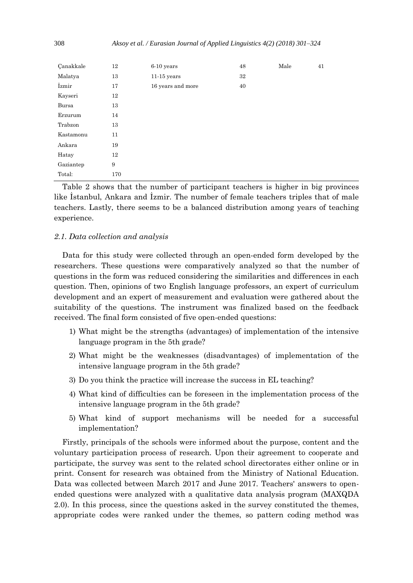| Canakkale | 12  | 6-10 years        | 48 | Male | 41 |
|-----------|-----|-------------------|----|------|----|
| Malatya   | 13  | $11-15$ years     | 32 |      |    |
| İzmir     | 17  | 16 years and more | 40 |      |    |
| Kayseri   | 12  |                   |    |      |    |
| Bursa     | 13  |                   |    |      |    |
| Erzurum   | 14  |                   |    |      |    |
| Trabzon   | 13  |                   |    |      |    |
| Kastamonu | 11  |                   |    |      |    |
| Ankara    | 19  |                   |    |      |    |
| Hatay     | 12  |                   |    |      |    |
| Gaziantep | 9   |                   |    |      |    |
| Total:    | 170 |                   |    |      |    |

Table 2 shows that the number of participant teachers is higher in big provinces like İstanbul, Ankara and İzmir. The number of female teachers triples that of male teachers. Lastly, there seems to be a balanced distribution among years of teaching experience.

#### *2.1. Data collection and analysis*

Data for this study were collected through an open-ended form developed by the researchers. These questions were comparatively analyzed so that the number of questions in the form was reduced considering the similarities and differences in each question. Then, opinions of two English language professors, an expert of curriculum development and an expert of measurement and evaluation were gathered about the suitability of the questions. The instrument was finalized based on the feedback received. The final form consisted of five open-ended questions:

- 1) What might be the strengths (advantages) of implementation of the intensive language program in the 5th grade?
- 2) What might be the weaknesses (disadvantages) of implementation of the intensive language program in the 5th grade?
- 3) Do you think the practice will increase the success in EL teaching?
- 4) What kind of difficulties can be foreseen in the implementation process of the intensive language program in the 5th grade?
- 5) What kind of support mechanisms will be needed for a successful implementation?

Firstly, principals of the schools were informed about the purpose, content and the voluntary participation process of research. Upon their agreement to cooperate and participate, the survey was sent to the related school directorates either online or in print. Consent for research was obtained from the Ministry of National Education. Data was collected between March 2017 and June 2017. Teachers' answers to openended questions were analyzed with a qualitative data analysis program (MAXQDA 2.0). In this process, since the questions asked in the survey constituted the themes, appropriate codes were ranked under the themes, so pattern coding method was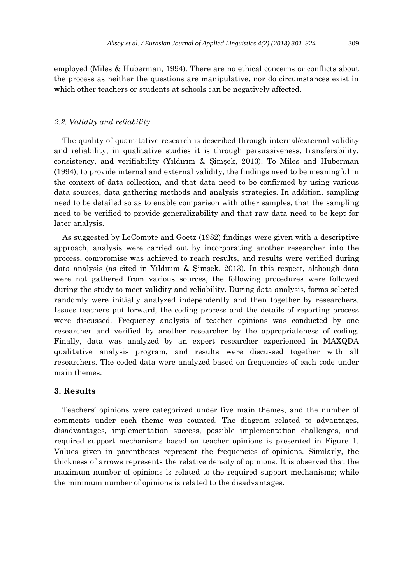employed (Miles & Huberman, 1994). There are no ethical concerns or conflicts about the process as neither the questions are manipulative, nor do circumstances exist in which other teachers or students at schools can be negatively affected.

#### *2.2. Validity and reliability*

The quality of quantitative research is described through internal/external validity and reliability; in qualitative studies it is through persuasiveness, transferability, consistency, and verifiability (Yıldırım & Şimşek, 2013). To Miles and Huberman (1994), to provide internal and external validity, the findings need to be meaningful in the context of data collection, and that data need to be confirmed by using various data sources, data gathering methods and analysis strategies. In addition, sampling need to be detailed so as to enable comparison with other samples, that the sampling need to be verified to provide generalizability and that raw data need to be kept for later analysis.

As suggested by LeCompte and Goetz (1982) findings were given with a descriptive approach, analysis were carried out by incorporating another researcher into the process, compromise was achieved to reach results, and results were verified during data analysis (as cited in Yıldırım & Şimşek, 2013). In this respect, although data were not gathered from various sources, the following procedures were followed during the study to meet validity and reliability. During data analysis, forms selected randomly were initially analyzed independently and then together by researchers. Issues teachers put forward, the coding process and the details of reporting process were discussed. Frequency analysis of teacher opinions was conducted by one researcher and verified by another researcher by the appropriateness of coding. Finally, data was analyzed by an expert researcher experienced in MAXQDA qualitative analysis program, and results were discussed together with all researchers. The coded data were analyzed based on frequencies of each code under main themes.

## **3. Results**

Teachers' opinions were categorized under five main themes, and the number of comments under each theme was counted. The diagram related to advantages, disadvantages, implementation success, possible implementation challenges, and required support mechanisms based on teacher opinions is presented in Figure 1. Values given in parentheses represent the frequencies of opinions. Similarly, the thickness of arrows represents the relative density of opinions. It is observed that the maximum number of opinions is related to the required support mechanisms; while the minimum number of opinions is related to the disadvantages.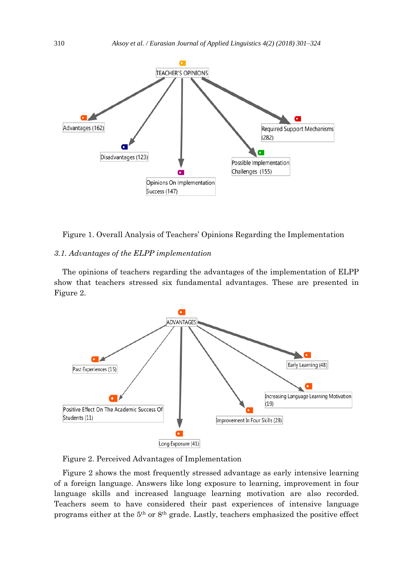

Figure 1. Overall Analysis of Teachers' Opinions Regarding the Implementation

## *3.1. Advantages of the ELPP implementation*

The opinions of teachers regarding the advantages of the implementation of ELPP show that teachers stressed six fundamental advantages. These are presented in Figure 2.



Figure 2. Perceived Advantages of Implementation

Figure 2 shows the most frequently stressed advantage as early intensive learning of a foreign language. Answers like long exposure to learning, improvement in four language skills and increased language learning motivation are also recorded. Teachers seem to have considered their past experiences of intensive language programs either at the 5th or 8th grade. Lastly, teachers emphasized the positive effect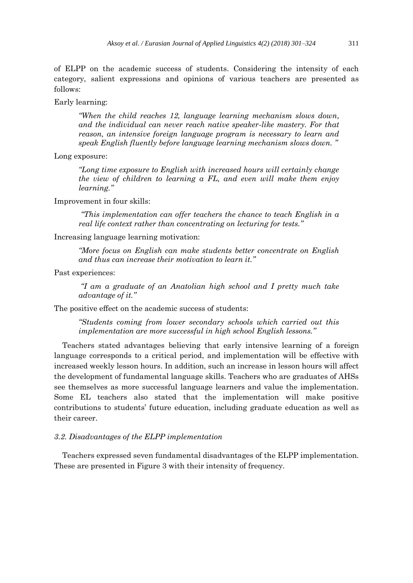of ELPP on the academic success of students. Considering the intensity of each category, salient expressions and opinions of various teachers are presented as follows:

Early learning:

*"When the child reaches 12, language learning mechanism slows down, and the individual can never reach native speaker-like mastery. For that reason, an intensive foreign language program is necessary to learn and speak English fluently before language learning mechanism slows down. "*

Long exposure:

*"Long time exposure to English with increased hours will certainly change the view of children to learning a FL, and even will make them enjoy learning."*

Improvement in four skills:

*"This implementation can offer teachers the chance to teach English in a real life context rather than concentrating on lecturing for tests."*

Increasing language learning motivation:

*"More focus on English can make students better concentrate on English and thus can increase their motivation to learn it."*

Past experiences:

*"I am a graduate of an Anatolian high school and I pretty much take advantage of it."*

The positive effect on the academic success of students:

*"Students coming from lower secondary schools which carried out this implementation are more successful in high school English lessons."* 

Teachers stated advantages believing that early intensive learning of a foreign language corresponds to a critical period, and implementation will be effective with increased weekly lesson hours. In addition, such an increase in lesson hours will affect the development of fundamental language skills. Teachers who are graduates of AHSs see themselves as more successful language learners and value the implementation. Some EL teachers also stated that the implementation will make positive contributions to students' future education, including graduate education as well as their career.

## *3.2. Disadvantages of the ELPP implementation*

Teachers expressed seven fundamental disadvantages of the ELPP implementation. These are presented in Figure 3 with their intensity of frequency.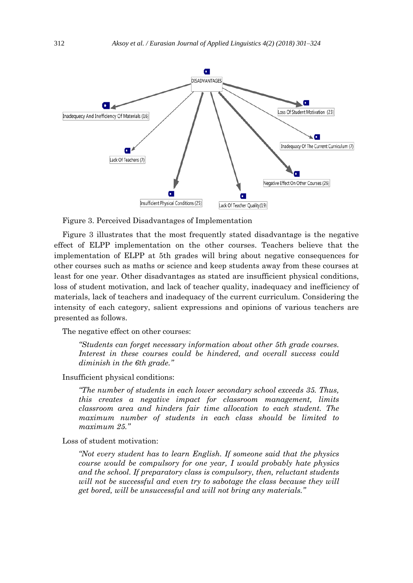

Figure 3. Perceived Disadvantages of Implementation

Figure 3 illustrates that the most frequently stated disadvantage is the negative effect of ELPP implementation on the other courses. Teachers believe that the implementation of ELPP at 5th grades will bring about negative consequences for other courses such as maths or science and keep students away from these courses at least for one year. Other disadvantages as stated are insufficient physical conditions, loss of student motivation, and lack of teacher quality, inadequacy and inefficiency of materials, lack of teachers and inadequacy of the current curriculum. Considering the intensity of each category, salient expressions and opinions of various teachers are presented as follows.

The negative effect on other courses:

*"Students can forget necessary information about other 5th grade courses. Interest in these courses could be hindered, and overall success could diminish in the 6th grade."*

Insufficient physical conditions:

*"The number of students in each lower secondary school exceeds 35. Thus, this creates a negative impact for classroom management, limits classroom area and hinders fair time allocation to each student. The maximum number of students in each class should be limited to maximum 25."*

Loss of student motivation:

*"Not every student has to learn English. If someone said that the physics course would be compulsory for one year, I would probably hate physics and the school. If preparatory class is compulsory, then, reluctant students will not be successful and even try to sabotage the class because they will get bored, will be unsuccessful and will not bring any materials."*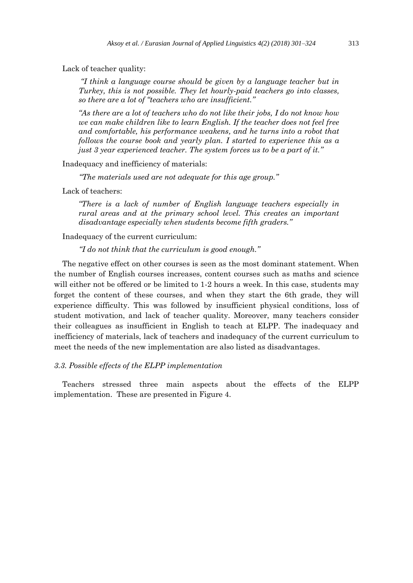Lack of teacher quality:

*"I think a language course should be given by a language teacher but in Turkey, this is not possible. They let hourly-paid teachers go into classes, so there are a lot of "teachers who are insufficient."*

*"As there are a lot of teachers who do not like their jobs, I do not know how we can make children like to learn English. If the teacher does not feel free and comfortable, his performance weakens, and he turns into a robot that follows the course book and yearly plan. I started to experience this as a just 3 year experienced teacher. The system forces us to be a part of it."*

Inadequacy and inefficiency of materials:

*"The materials used are not adequate for this age group."*

Lack of teachers:

*"There is a lack of number of English language teachers especially in rural areas and at the primary school level. This creates an important disadvantage especially when students become fifth graders."*

Inadequacy of the current curriculum:

*"I do not think that the curriculum is good enough."*

The negative effect on other courses is seen as the most dominant statement. When the number of English courses increases, content courses such as maths and science will either not be offered or be limited to 1-2 hours a week. In this case, students may forget the content of these courses, and when they start the 6th grade, they will experience difficulty. This was followed by insufficient physical conditions, loss of student motivation, and lack of teacher quality. Moreover, many teachers consider their colleagues as insufficient in English to teach at ELPP. The inadequacy and inefficiency of materials, lack of teachers and inadequacy of the current curriculum to meet the needs of the new implementation are also listed as disadvantages.

## *3.3. Possible effects of the ELPP implementation*

Teachers stressed three main aspects about the effects of the ELPP implementation. These are presented in Figure 4.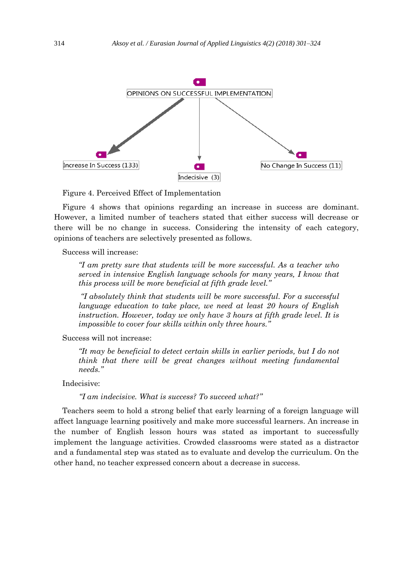

Figure 4. Perceived Effect of Implementation

Figure 4 shows that opinions regarding an increase in success are dominant. However, a limited number of teachers stated that either success will decrease or there will be no change in success. Considering the intensity of each category, opinions of teachers are selectively presented as follows.

Success will increase:

*"I am pretty sure that students will be more successful. As a teacher who served in intensive English language schools for many years, I know that this process will be more beneficial at fifth grade level."*

*"I absolutely think that students will be more successful. For a successful language education to take place, we need at least 20 hours of English instruction. However, today we only have 3 hours at fifth grade level. It is impossible to cover four skills within only three hours."*

Success will not increase:

*"It may be beneficial to detect certain skills in earlier periods, but I do not think that there will be great changes without meeting fundamental needs."*

Indecisive:

*"I am indecisive. What is success? To succeed what?"*

Teachers seem to hold a strong belief that early learning of a foreign language will affect language learning positively and make more successful learners. An increase in the number of English lesson hours was stated as important to successfully implement the language activities. Crowded classrooms were stated as a distractor and a fundamental step was stated as to evaluate and develop the curriculum. On the other hand, no teacher expressed concern about a decrease in success.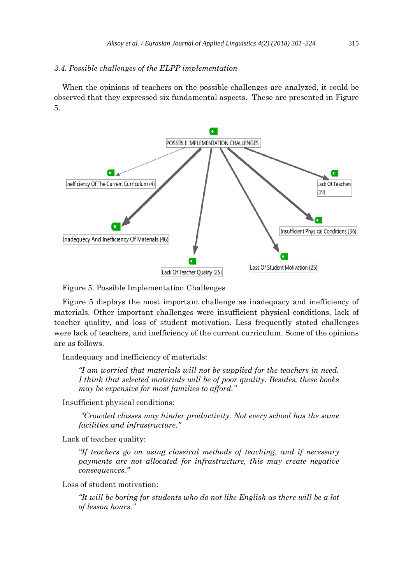## *3.4. Possible challenges of the ELPP implementation*

When the opinions of teachers on the possible challenges are analyzed, it could be observed that they expressed six fundamental aspects. These are presented in Figure 5.



Figure 5. Possible Implementation Challenges

Figure 5 displays the most important challenge as inadequacy and inefficiency of materials. Other important challenges were insufficient physical conditions, lack of teacher quality, and loss of student motivation. Less frequently stated challenges were lack of teachers, and inefficiency of the current curriculum. Some of the opinions are as follows.

Inadequacy and inefficiency of materials:

*"I am worried that materials will not be supplied for the teachers in need. I think that selected materials will be of poor quality. Besides, these books may be expensive for most families to afford."*

Insufficient physical conditions:

*"Crowded classes may hinder productivity. Not every school has the same facilities and infrastructure."*

Lack of teacher quality:

*"If teachers go on using classical methods of teaching, and if necessary payments are not allocated for infrastructure, this may create negative consequences."* 

Loss of student motivation:

*"It will be boring for students who do not like English as there will be a lot of lesson hours."*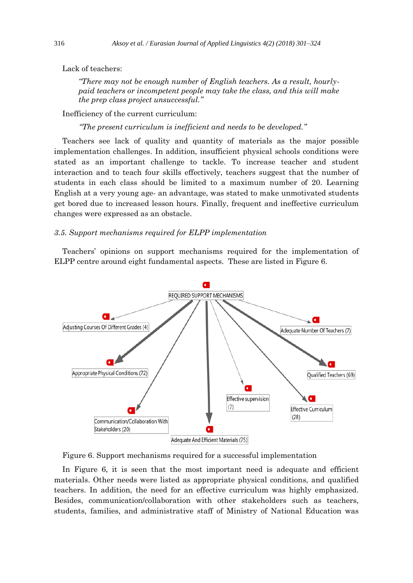Lack of teachers:

*"There may not be enough number of English teachers. As a result, hourlypaid teachers or incompetent people may take the class, and this will make the prep class project unsuccessful."*

Inefficiency of the current curriculum:

*"The present curriculum is inefficient and needs to be developed."*

Teachers see lack of quality and quantity of materials as the major possible implementation challenges. In addition, insufficient physical schools conditions were stated as an important challenge to tackle. To increase teacher and student interaction and to teach four skills effectively, teachers suggest that the number of students in each class should be limited to a maximum number of 20. Learning English at a very young age- an advantage, was stated to make unmotivated students get bored due to increased lesson hours. Finally, frequent and ineffective curriculum changes were expressed as an obstacle.

## *3.5. Support mechanisms required for ELPP implementation*

Teachers' opinions on support mechanisms required for the implementation of ELPP centre around eight fundamental aspects. These are listed in Figure 6.



Figure 6. Support mechanisms required for a successful implementation

In Figure 6, it is seen that the most important need is adequate and efficient materials. Other needs were listed as appropriate physical conditions, and qualified teachers. In addition, the need for an effective curriculum was highly emphasized. Besides, communication/collaboration with other stakeholders such as teachers, students, families, and administrative staff of Ministry of National Education was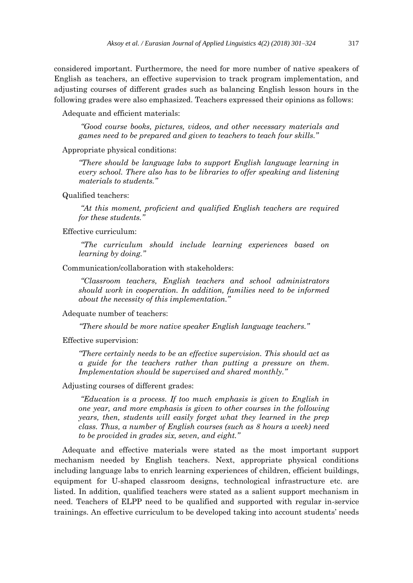considered important. Furthermore, the need for more number of native speakers of English as teachers, an effective supervision to track program implementation, and adjusting courses of different grades such as balancing English lesson hours in the following grades were also emphasized. Teachers expressed their opinions as follows:

Adequate and efficient materials:

*"Good course books, pictures, videos, and other necessary materials and games need to be prepared and given to teachers to teach four skills."*

Appropriate physical conditions:

*"There should be language labs to support English language learning in every school. There also has to be libraries to offer speaking and listening materials to students."* 

Qualified teachers:

*"At this moment, proficient and qualified English teachers are required for these students."*

Effective curriculum:

*"The curriculum should include learning experiences based on learning by doing."*

Communication/collaboration with stakeholders:

*"Classroom teachers, English teachers and school administrators should work in cooperation. In addition, families need to be informed about the necessity of this implementation."*

Adequate number of teachers:

*"There should be more native speaker English language teachers."*

Effective supervision:

*"There certainly needs to be an effective supervision. This should act as a guide for the teachers rather than putting a pressure on them. Implementation should be supervised and shared monthly."*

Adjusting courses of different grades:

*"Education is a process. If too much emphasis is given to English in one year, and more emphasis is given to other courses in the following years, then, students will easily forget what they learned in the prep class. Thus, a number of English courses (such as 8 hours a week) need to be provided in grades six, seven, and eight."*

Adequate and effective materials were stated as the most important support mechanism needed by English teachers. Next, appropriate physical conditions including language labs to enrich learning experiences of children, efficient buildings, equipment for U-shaped classroom designs, technological infrastructure etc. are listed. In addition, qualified teachers were stated as a salient support mechanism in need. Teachers of ELPP need to be qualified and supported with regular in-service trainings. An effective curriculum to be developed taking into account students' needs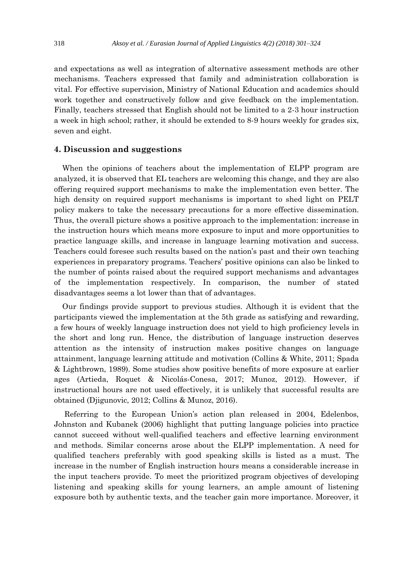and expectations as well as integration of alternative assessment methods are other mechanisms. Teachers expressed that family and administration collaboration is vital. For effective supervision, Ministry of National Education and academics should work together and constructively follow and give feedback on the implementation. Finally, teachers stressed that English should not be limited to a 2-3 hour instruction a week in high school; rather, it should be extended to 8-9 hours weekly for grades six, seven and eight.

## **4. Discussion and suggestions**

When the opinions of teachers about the implementation of ELPP program are analyzed, it is observed that EL teachers are welcoming this change, and they are also offering required support mechanisms to make the implementation even better. The high density on required support mechanisms is important to shed light on PELT policy makers to take the necessary precautions for a more effective dissemination. Thus, the overall picture shows a positive approach to the implementation: increase in the instruction hours which means more exposure to input and more opportunities to practice language skills, and increase in language learning motivation and success. Teachers could foresee such results based on the nation's past and their own teaching experiences in preparatory programs. Teachers' positive opinions can also be linked to the number of points raised about the required support mechanisms and advantages of the implementation respectively. In comparison, the number of stated disadvantages seems a lot lower than that of advantages.

Our findings provide support to previous studies. Although it is evident that the participants viewed the implementation at the 5th grade as satisfying and rewarding, a few hours of weekly language instruction does not yield to high proficiency levels in the short and long run. Hence, the distribution of language instruction deserves attention as the intensity of instruction makes positive changes on language attainment, language learning attitude and motivation (Collins & White, 2011; Spada & Lightbrown, 1989). Some studies show positive benefits of more exposure at earlier ages (Artieda, Roquet & Nicolás-Conesa, 2017; Munoz, 2012). However, if instructional hours are not used effectively, it is unlikely that successful results are obtained (Djigunovic, 2012; Collins & Munoz, 2016).

Referring to the European Union's action plan released in 2004, Edelenbos, Johnston and Kubanek (2006) highlight that putting language policies into practice cannot succeed without well-qualified teachers and effective learning environment and methods. Similar concerns arose about the ELPP implementation. A need for qualified teachers preferably with good speaking skills is listed as a must. The increase in the number of English instruction hours means a considerable increase in the input teachers provide. To meet the prioritized program objectives of developing listening and speaking skills for young learners, an ample amount of listening exposure both by authentic texts, and the teacher gain more importance. Moreover, it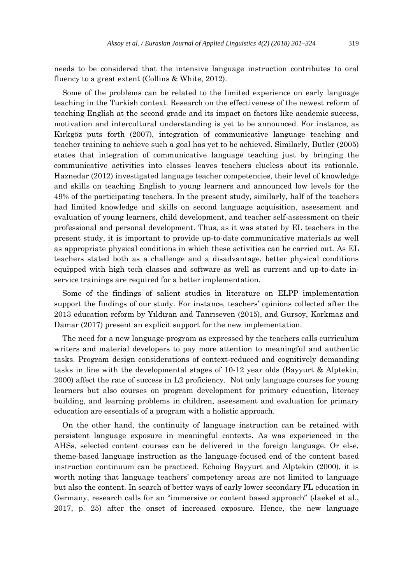needs to be considered that the intensive language instruction contributes to oral fluency to a great extent (Collins & White, 2012).

Some of the problems can be related to the limited experience on early language teaching in the Turkish context. Research on the effectiveness of the newest reform of teaching English at the second grade and its impact on factors like academic success, motivation and intercultural understanding is yet to be announced. For instance, as Kırkgöz puts forth (2007), integration of communicative language teaching and teacher training to achieve such a goal has yet to be achieved. Similarly, Butler (2005) states that integration of communicative language teaching just by bringing the communicative activities into classes leaves teachers clueless about its rationale. Haznedar (2012) investigated language teacher competencies, their level of knowledge and skills on teaching English to young learners and announced low levels for the 49% of the participating teachers. In the present study, similarly, half of the teachers had limited knowledge and skills on second language acquisition, assessment and evaluation of young learners, child development, and teacher self-assessment on their professional and personal development. Thus, as it was stated by EL teachers in the present study, it is important to provide up-to-date communicative materials as well as appropriate physical conditions in which these activities can be carried out. As EL teachers stated both as a challenge and a disadvantage, better physical conditions equipped with high tech classes and software as well as current and up-to-date inservice trainings are required for a better implementation.

Some of the findings of salient studies in literature on ELPP implementation support the findings of our study. For instance, teachers' opinions collected after the 2013 education reform by Yıldıran and Tanrıseven (2015), and Gursoy, Korkmaz and Damar (2017) present an explicit support for the new implementation.

The need for a new language program as expressed by the teachers calls curriculum writers and material developers to pay more attention to meaningful and authentic tasks. Program design considerations of context-reduced and cognitively demanding tasks in line with the developmental stages of 10-12 year olds (Bayyurt & Alptekin, 2000) affect the rate of success in L2 proficiency. Not only language courses for young learners but also courses on program development for primary education, literacy building, and learning problems in children, assessment and evaluation for primary education are essentials of a program with a holistic approach.

On the other hand, the continuity of language instruction can be retained with persistent language exposure in meaningful contexts. As was experienced in the AHSs, selected content courses can be delivered in the foreign language. Or else, theme-based language instruction as the language-focused end of the content based instruction continuum can be practiced. Echoing Bayyurt and Alptekin (2000), it is worth noting that language teachers' competency areas are not limited to language but also the content. In search of better ways of early lower secondary FL education in Germany, research calls for an "immersive or content based approach" (Jaekel et al., 2017, p. 25) after the onset of increased exposure. Hence, the new language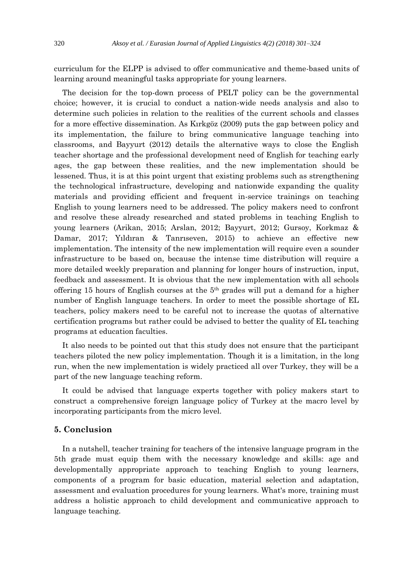curriculum for the ELPP is advised to offer communicative and theme-based units of learning around meaningful tasks appropriate for young learners.

The decision for the top-down process of PELT policy can be the governmental choice; however, it is crucial to conduct a nation-wide needs analysis and also to determine such policies in relation to the realities of the current schools and classes for a more effective dissemination. As Kırkgöz (2009) puts the gap between policy and its implementation, the failure to bring communicative language teaching into classrooms, and Bayyurt (2012) details the alternative ways to close the English teacher shortage and the professional development need of English for teaching early ages, the gap between these realities, and the new implementation should be lessened. Thus, it is at this point urgent that existing problems such as strengthening the technological infrastructure, developing and nationwide expanding the quality materials and providing efficient and frequent in-service trainings on teaching English to young learners need to be addressed. The policy makers need to confront and resolve these already researched and stated problems in teaching English to young learners (Arikan, 2015; Arslan, 2012; Bayyurt, 2012; Gursoy, Korkmaz & Damar, 2017; Yıldıran & Tanrıseven, 2015) to achieve an effective new implementation. The intensity of the new implementation will require even a sounder infrastructure to be based on, because the intense time distribution will require a more detailed weekly preparation and planning for longer hours of instruction, input, feedback and assessment. It is obvious that the new implementation with all schools offering 15 hours of English courses at the  $5<sup>th</sup>$  grades will put a demand for a higher number of English language teachers. In order to meet the possible shortage of EL teachers, policy makers need to be careful not to increase the quotas of alternative certification programs but rather could be advised to better the quality of EL teaching programs at education faculties.

It also needs to be pointed out that this study does not ensure that the participant teachers piloted the new policy implementation. Though it is a limitation, in the long run, when the new implementation is widely practiced all over Turkey, they will be a part of the new language teaching reform.

It could be advised that language experts together with policy makers start to construct a comprehensive foreign language policy of Turkey at the macro level by incorporating participants from the micro level.

## **5. Conclusion**

In a nutshell, teacher training for teachers of the intensive language program in the 5th grade must equip them with the necessary knowledge and skills: age and developmentally appropriate approach to teaching English to young learners, components of a program for basic education, material selection and adaptation, assessment and evaluation procedures for young learners. What's more, training must address a holistic approach to child development and communicative approach to language teaching.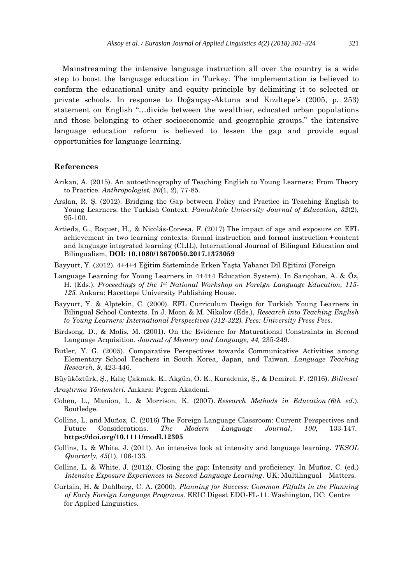Mainstreaming the intensive language instruction all over the country is a wide step to boost the language education in Turkey. The implementation is believed to conform the educational unity and equity principle by delimiting it to selected or private schools. In response to Doğançay-Aktuna and Kızıltepe's (2005, p. 253) statement on English "…divide between the wealthier, educated urban populations and those belonging to other socioeconomic and geographic groups." the intensive language education reform is believed to lessen the gap and provide equal opportunities for language learning.

#### **References**

- Arıkan, A. (2015). An autoethnography of Teaching English to Young Learners: From Theory to Practice. *Anthropologist, 20*(1, 2), 77-85.
- Arslan, R. Ş. (2012). Bridging the Gap between Policy and Practice in Teaching English to Young Learners: the Turkish Context. *Pamukkale University Journal of Education, 32*(2), 95-100.
- Artieda, G., Roquet, H., & Nicolás-Conesa, F. (2017) The impact of age and exposure on EFL achievement in two learning contexts: formal instruction and formal instruction + content and language integrated learning (CLIL), International Journal of Bilingual Education and Bilingualism, **DOI: [10.1080/13670050.2017.1373059](https://doi.org/10.1080/13670050.2017.1373059)**
- Bayyurt, Y. (2012). 4+4+4 Eğitim Sisteminde Erken Yaşta Yabancı Dil Eğitimi (Foreign
- Language Learning for Young Learners in 4+4+4 Education System). In Sarıçoban, A. & Öz, H. (Eds.). *Proceedings of the 1st National Workshop on Foreign Language Education, 115- 125.* Ankara: Hacettepe University Publishing House.
- Bayyurt, Y. & Alptekin, C. (2000). EFL Curriculum Design for Turkish Young Learners in Bilingual School Contexts. In J. Moon & M. Nikolov (Eds.), *Research into Teaching English to Young Learners: International Perspectives (312-322). Pecs: University Press Pecs.*
- Birdsong, D., & Molis, M. (2001). On the Evidence for Maturational Constraints in Second Language Acquisition. *Journal of Memory and Language, 44,* 235-249.
- Butler, Y. G. (2005). Comparative Perspectives towards Communicative Activities among Elementary School Teachers in South Korea, Japan, and Taiwan. *Language Teaching Research, 9*, 423-446.
- Büyüköztürk, Ş., Kılıç Çakmak, E., Akgün, Ö. E., Karadeniz, Ş., & Demirel, F. (2016). *Bilimsel*
- *Araştırma Yöntemleri.* Ankara: Pegem Akademi.
- Cohen, L., Manion, L. & Morrison, K. (2007). *Research Methods in Education (6th ed*.). Routledge.
- Collins, L. and Muñoz, C. (2016) The Foreign Language Classroom: Current Perspectives and Future Considerations. *The Modern Language Journal*, *100*, 133-147. **https://doi.org/10.1111/modl.12305**
- Collins, L. & White, J. (2011). An intensive look at intensity and language learning. *TESOL Quarterly, 45*(1), 106-133.
- Collins, L. & White, J. (2012). Closing the gap: Intensity and proficiency. In Muñoz, C. (ed.) *Intensive Exposure Experiences in Second Language Learning*. UK: Multilingual Matters.
- Curtain, H. & Dahlberg, C. A. (2000). *Planning for Success: Common Pitfalls in the Planning of Early Foreign Language Programs.* ERIC Digest EDO-FL-11. Washington, DC: Centre for Applied Linguistics.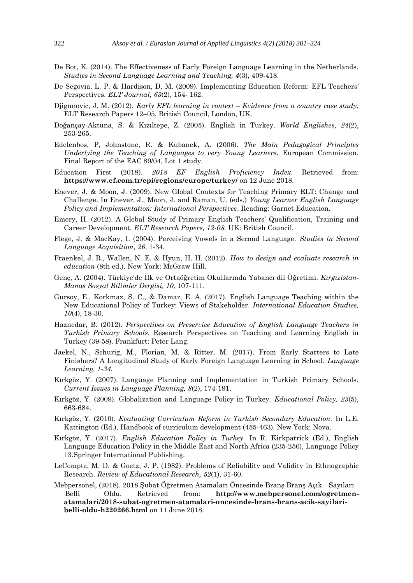- De Bot, K. (2014). The Effectiveness of Early Foreign Language Learning in the Netherlands. *Studies in Second Language Learning and Teaching, 4*(3), 409-418.
- De Segovia, L. P. & Hardison, D. M. (2009). Implementing Education Reform: EFL Teachers' Perspectives. *ELT Journal, 63*(2), 154- 162.
- Djigunovic, J. M. (2012). *Early EFL learning in context – Evidence from a country case study.* ELT Research Papers 12–05, British Council, London, UK.
- Doğançay-Aktuna, S. & Kızıltepe, Z. (2005). English in Turkey. *World Englishes, 24*(2), 253-265.
- Edelenbos, P, Johnstone, R. & Kubanek, A. (2006). *The Main Pedagogical Principles Underlying the Teaching of Languages to very Young Learners.* European Commission. Final Report of the EAC 89/04, Lot 1 study.
- Education First (2018). *2018 EF English Proficiency Index*. Retrieved from: **<https://www.ef.com.tr/epi/regions/europe/turkey/>** on 12 June 2018.
- Enever, J. & Moon, J. (2009). New Global Contexts for Teaching Primary ELT: Change and Challenge. In Enever, J., Moon, J. and Raman, U. (eds.) *Young Learner English Language Policy and Implementation: International Perspectives*. Reading: Garnet Education.
- Emery, H. (2012). A Global Study of Primary English Teachers' Qualification, Training and Career Development. *ELT Research Papers, 12-08.* UK: British Council.
- Flege, J. & MacKay, I. (2004). Perceiving Vowels in a Second Language. *Studies in Second Language Acquisition, 26*, 1-34.
- Fraenkel, J. R., Wallen, N. E. & Hyun, H. H. (2012). *How to design and evaluate research in education* (8th ed.). New York: McGraw Hill.
- Genç, A. (2004). Türkiye'de İlk ve Ortaöğretim Okullarında Yabancı dil Öğretimi. *Kırgızistan-Manas Sosyal Bilimler Dergisi, 10,* 107-111.
- Gursoy, E., Korkmaz, S. C., & Damar, E. A. (2017). English Language Teaching within the New Educational Policy of Turkey: Views of Stakeholder. *International Education Studies, 10*(4), 18-30.
- Haznedar, B. (2012). *Perspectives on Preservice Education of English Language Teachers in Turkish Primary Schools*. Research Perspectives on Teaching and Learning English in Turkey (39-58). Frankfurt: Peter Lang.
- Jaekel, N., Schurig, M., Florian, M. & Ritter, M. (2017). From Early Starters to Late Finishers? A Longitudinal Study of Early Foreign Language Learning in School. *Language Learning, 1-34.*
- Kırkgöz, Y. (2007). Language Planning and Implementation in Turkish Primary Schools. *Current Issues in Language Planning, 8*(2), 174-191.
- Kırkgöz, Y. (2009). Globalization and Language Policy in Turkey. *Educational Policy, 23*(5), 663-684.
- Kırkgöz, Y. (2010). *Evaluating Curriculum Reform in Turkish Secondary Education.* In L.E. Kattington (Ed.), Handbook of curriculum development (455-463). New York: Nova.
- Kırkgöz, Y. (2017). *English Education Policy in Turkey.* In R. Kirkpatrick (Ed.), English Language Education Policy in the Middle East and North Africa (235-256), Language Policy 13.Springer International Publishing.
- LeCompte, M. D. & Goetz, J. P. (1982). Problems of Reliability and Validity in Ethnographic Research. *Review of Educational Research, 52*(1), 31-60.
- Mebpersonel, (2018). 2018 Şubat Öğretmen Atamaları Öncesinde Branş Branş Açık Sayıları Belli Oldu. Retrieved from: **[http://www.mebpersonel.com/ogretmen](http://www.mebpersonel.com/ogretmen-atamalari/2018-)[atamalari/2018-s](http://www.mebpersonel.com/ogretmen-atamalari/2018-)ubat-ogretmen-atamalari-oncesinde-brans-brans-acik-sayilaribelli-oldu-h220266.html** on 11 June 2018.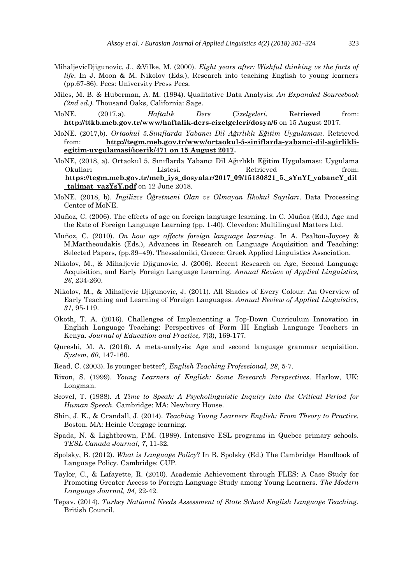- MihaljevicDjigunovic, J., &Vilke, M. (2000). *Eight years after: Wishful thinking vs the facts of life*. In J. Moon & M. Nikolov (Eds.), Research into teaching English to young learners (pp.67-86). Pecs: University Press Pecs.
- Miles, M. B. & Huberman, A. M. (1994). Qualitative Data Analysis: *An Expanded Sourcebook (2nd ed.)*. Thousand Oaks, California: Sage.
- MoNE. (2017,a). *Haftalık Ders Çizelgeleri.* Retrieved from: **http://ttkb.meb.gov.tr/www/haftalik-ders-cizelgeleri/dosya/6** on 15 August 2017.
- MoNE. (2017,b). *Ortaokul 5.Sınıflarda Yabancı Dil Ağırlıklı Eğitim Uygulaması.* Retrieved from: **[http://tegm.meb.gov.tr/www/ortaokul-5-siniflarda-yabanci-dil-agirlikli](http://tegm.meb.gov.tr/www/ortaokul-5-siniflarda-yabanci-dil-agirlikli-egitim-uygulamasi/icerik/471%20on%2015%20August%202017)[egitim-uygulamasi/icerik/471 on 15 August 2017.](http://tegm.meb.gov.tr/www/ortaokul-5-siniflarda-yabanci-dil-agirlikli-egitim-uygulamasi/icerik/471%20on%2015%20August%202017)**
- MoNE, (2018, a). Ortaokul 5. Sınıflarda Yabancı Dil Ağırlıklı Eğitim Uygulaması: Uygulama Okulları Listesi. Retrieved from: **[https://tegm.meb.gov.tr/meb\\_iys\\_dosyalar/2017\\_09/15180821\\_5.\\_sYnYf\\_yabancY\\_dil](https://tegm.meb.gov.tr/meb_iys_dosyalar/2017_09/15180821_5._sYnYf_yabancY_dil_talimat_yazYsY.pdf) [\\_talimat\\_yazYsY.pdf](https://tegm.meb.gov.tr/meb_iys_dosyalar/2017_09/15180821_5._sYnYf_yabancY_dil_talimat_yazYsY.pdf)** on 12 June 2018.
- MoNE. (2018, b). *İngilizce Öğretmeni Olan ve Olmayan İlkokul Sayıları*. Data Processing Center of MoNE.
- Muñoz, C. (2006). The effects of age on foreign language learning. In C. Muñoz (Ed.), Age and the Rate of Foreign Language Learning (pp. 1-40). Clevedon: Multilingual Matters Ltd.
- Muñoz, C. (2010). *On how age affects foreign language learning*. In A. Psaltou-Joycey & M.Mattheoudakis (Eds.), Advances in Research on Language Acquisition and Teaching: Selected Papers, (pp.39–49). Thessaloniki, Greece: Greek Applied Linguistics Association.
- Nikolov, M., & Mihaljevic Djigunovic, J. (2006). Recent Research on Age, Second Language Acquisition, and Early Foreign Language Learning. *Annual Review of Applied Linguistics, 26*, 234-260.
- Nikolov, M., & Mihaljevic Djigunovic, J. (2011). All Shades of Every Colour: An Overview of Early Teaching and Learning of Foreign Languages. *Annual Review of Applied Linguistics, 31*, 95-119.
- Okoth, T. A. (2016). Challenges of Implementing a Top-Down Curriculum Innovation in English Language Teaching: Perspectives of Form III English Language Teachers in Kenya. *Journal of Education and Practice, 7*(3), 169-177.
- Qureshi, M. A. (2016). A meta-analysis: Age and second language grammar acquisition. *System*, *60*, 147-160.
- Read, C. (2003). Is younger better?, *English Teaching Professional, 28*, 5-7.
- Rixon, S. (1999). *Young Learners of English: Some Research Perspectives*. Harlow, UK: Longman.
- Scovel, T. (1988). *A Time to Speak: A Psycholinguistic Inquiry into the Critical Period for Human Speech.* Cambridge: MA: Newbury House.
- Shin, J. K., & Crandall, J. (2014). *Teaching Young Learners English: From Theory to Practice.* Boston. MA: Heinle Cengage learning.
- Spada, N. & Lightbrown, P.M. (1989). Intensive ESL programs in Quebec primary schools. *TESL Canada Journal, 7*, 11-32.
- Spolsky, B. (2012). *What is Language Policy*? In B. Spolsky (Ed.) The Cambridge Handbook of Language Policy. Cambridge: CUP.
- Taylor, C., & Lafayette, R. (2010). Academic Achievement through FLES: A Case Study for Promoting Greater Access to Foreign Language Study among Young Learners. *The Modern Language Journal, 94,* 22-42.
- Tepav. (2014). *Turkey National Needs Assessment of State School English Language Teaching.* British Council.